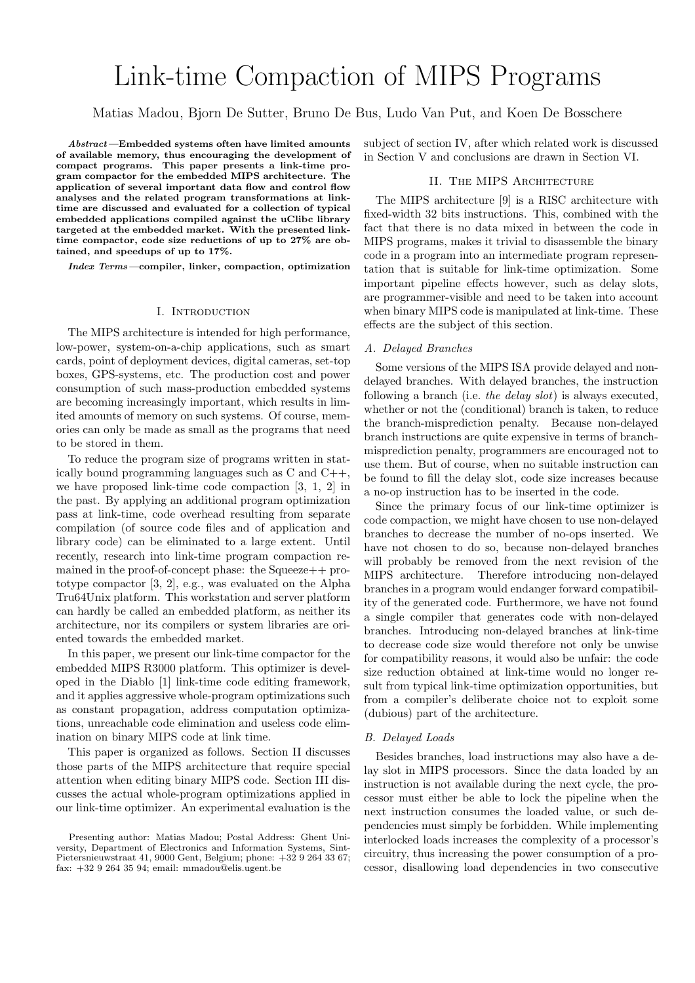# Link-time Compaction of MIPS Programs

Matias Madou, Bjorn De Sutter, Bruno De Bus, Ludo Van Put, and Koen De Bosschere

Abstract—Embedded systems often have limited amounts of available memory, thus encouraging the development of compact programs. This paper presents a link-time program compactor for the embedded MIPS architecture. The application of several important data flow and control flow analyses and the related program transformations at linktime are discussed and evaluated for a collection of typical embedded applications compiled against the uClibc library targeted at the embedded market. With the presented linktime compactor, code size reductions of up to 27% are obtained, and speedups of up to 17%.

Index Terms—compiler, linker, compaction, optimization

## I. Introduction

The MIPS architecture is intended for high performance, low-power, system-on-a-chip applications, such as smart cards, point of deployment devices, digital cameras, set-top boxes, GPS-systems, etc. The production cost and power consumption of such mass-production embedded systems are becoming increasingly important, which results in limited amounts of memory on such systems. Of course, memories can only be made as small as the programs that need to be stored in them.

To reduce the program size of programs written in statically bound programming languages such as C and C++, we have proposed link-time code compaction [3, 1, 2] in the past. By applying an additional program optimization pass at link-time, code overhead resulting from separate compilation (of source code files and of application and library code) can be eliminated to a large extent. Until recently, research into link-time program compaction remained in the proof-of-concept phase: the Squeeze++ prototype compactor [3, 2], e.g., was evaluated on the Alpha Tru64Unix platform. This workstation and server platform can hardly be called an embedded platform, as neither its architecture, nor its compilers or system libraries are oriented towards the embedded market.

In this paper, we present our link-time compactor for the embedded MIPS R3000 platform. This optimizer is developed in the Diablo [1] link-time code editing framework, and it applies aggressive whole-program optimizations such as constant propagation, address computation optimizations, unreachable code elimination and useless code elimination on binary MIPS code at link time.

This paper is organized as follows. Section II discusses those parts of the MIPS architecture that require special attention when editing binary MIPS code. Section III discusses the actual whole-program optimizations applied in our link-time optimizer. An experimental evaluation is the subject of section IV, after which related work is discussed in Section V and conclusions are drawn in Section VI.

### II. The MIPS Architecture

The MIPS architecture [9] is a RISC architecture with fixed-width 32 bits instructions. This, combined with the fact that there is no data mixed in between the code in MIPS programs, makes it trivial to disassemble the binary code in a program into an intermediate program representation that is suitable for link-time optimization. Some important pipeline effects however, such as delay slots, are programmer-visible and need to be taken into account when binary MIPS code is manipulated at link-time. These effects are the subject of this section.

## A. Delayed Branches

Some versions of the MIPS ISA provide delayed and nondelayed branches. With delayed branches, the instruction following a branch (i.e. the delay slot) is always executed, whether or not the (conditional) branch is taken, to reduce the branch-misprediction penalty. Because non-delayed branch instructions are quite expensive in terms of branchmisprediction penalty, programmers are encouraged not to use them. But of course, when no suitable instruction can be found to fill the delay slot, code size increases because a no-op instruction has to be inserted in the code.

Since the primary focus of our link-time optimizer is code compaction, we might have chosen to use non-delayed branches to decrease the number of no-ops inserted. We have not chosen to do so, because non-delayed branches will probably be removed from the next revision of the MIPS architecture. Therefore introducing non-delayed branches in a program would endanger forward compatibility of the generated code. Furthermore, we have not found a single compiler that generates code with non-delayed branches. Introducing non-delayed branches at link-time to decrease code size would therefore not only be unwise for compatibility reasons, it would also be unfair: the code size reduction obtained at link-time would no longer result from typical link-time optimization opportunities, but from a compiler's deliberate choice not to exploit some (dubious) part of the architecture.

#### B. Delayed Loads

Besides branches, load instructions may also have a delay slot in MIPS processors. Since the data loaded by an instruction is not available during the next cycle, the processor must either be able to lock the pipeline when the next instruction consumes the loaded value, or such dependencies must simply be forbidden. While implementing interlocked loads increases the complexity of a processor's circuitry, thus increasing the power consumption of a processor, disallowing load dependencies in two consecutive

Presenting author: Matias Madou; Postal Address: Ghent University, Department of Electronics and Information Systems, Sint-Pietersnieuwstraat 41, 9000 Gent, Belgium; phone: +32 9 264 33 67; fax: +32 9 264 35 94; email: mmadou@elis.ugent.be